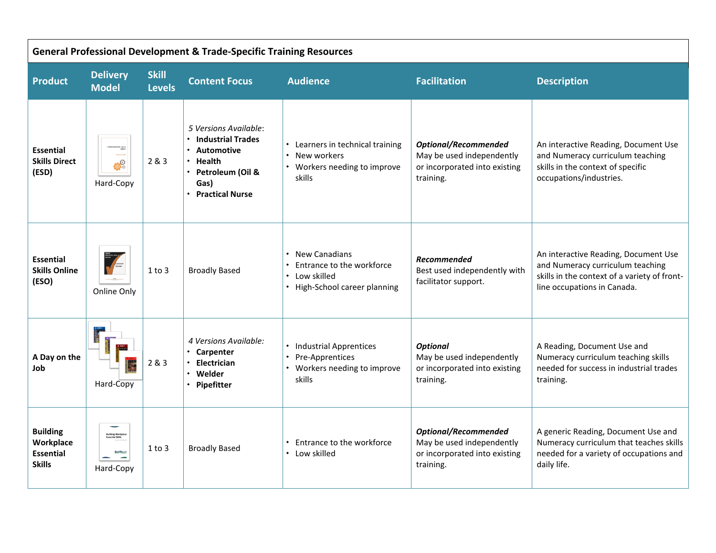| <b>General Professional Development &amp; Trade-Specific Training Resources</b> |                                                                  |                               |                                                                                                                                        |                                                                                                                                          |                                                                                                        |                                                                                                                                                         |  |  |  |
|---------------------------------------------------------------------------------|------------------------------------------------------------------|-------------------------------|----------------------------------------------------------------------------------------------------------------------------------------|------------------------------------------------------------------------------------------------------------------------------------------|--------------------------------------------------------------------------------------------------------|---------------------------------------------------------------------------------------------------------------------------------------------------------|--|--|--|
| <b>Product</b>                                                                  | <b>Delivery</b><br><b>Model</b>                                  | <b>Skill</b><br><b>Levels</b> | <b>Content Focus</b>                                                                                                                   | <b>Audience</b>                                                                                                                          | <b>Facilitation</b>                                                                                    | <b>Description</b>                                                                                                                                      |  |  |  |
| <b>Essential</b><br><b>Skills Direct</b><br>(ESD)                               | $\bullet^\circ$<br>Hard-Copy                                     | 2 & 3                         | 5 Versions Available:<br><b>Industrial Trades</b><br>Automotive<br><b>Health</b><br>Petroleum (Oil &<br>Gas)<br><b>Practical Nurse</b> | Learners in technical training<br>New workers<br>$\bullet$<br>Workers needing to improve<br>skills                                       | <b>Optional/Recommended</b><br>May be used independently<br>or incorporated into existing<br>training. | An interactive Reading, Document Use<br>and Numeracy curriculum teaching<br>skills in the context of specific<br>occupations/industries.                |  |  |  |
| <b>Essential</b><br><b>Skills Online</b><br>(ESO)                               | Online Only                                                      | $1$ to $3$                    | <b>Broadly Based</b>                                                                                                                   | <b>New Canadians</b><br>$\bullet$<br>Entrance to the workforce<br>$\bullet$<br>Low skilled<br>$\bullet$<br>• High-School career planning | <b>Recommended</b><br>Best used independently with<br>facilitator support.                             | An interactive Reading, Document Use<br>and Numeracy curriculum teaching<br>skills in the context of a variety of front-<br>line occupations in Canada. |  |  |  |
| A Day on the<br>Job                                                             | Hard-Copy                                                        | 2 & 3                         | 4 Versions Available:<br>• Carpenter<br>Electrician<br>Welder<br>Pipefitter                                                            | • Industrial Apprentices<br>Pre-Apprentices<br>Workers needing to improve<br>skills                                                      | <b>Optional</b><br>May be used independently<br>or incorporated into existing<br>training.             | A Reading, Document Use and<br>Numeracy curriculum teaching skills<br>needed for success in industrial trades<br>training.                              |  |  |  |
| <b>Building</b><br>Workplace<br><b>Essential</b><br><b>Skills</b>               | Building Workplac<br>Essential Skills<br>Bow MALLEY<br>Hard-Copy | $1$ to $3$                    | <b>Broadly Based</b>                                                                                                                   | Entrance to the workforce<br>Low skilled                                                                                                 | <b>Optional/Recommended</b><br>May be used independently<br>or incorporated into existing<br>training. | A generic Reading, Document Use and<br>Numeracy curriculum that teaches skills<br>needed for a variety of occupations and<br>daily life.                |  |  |  |